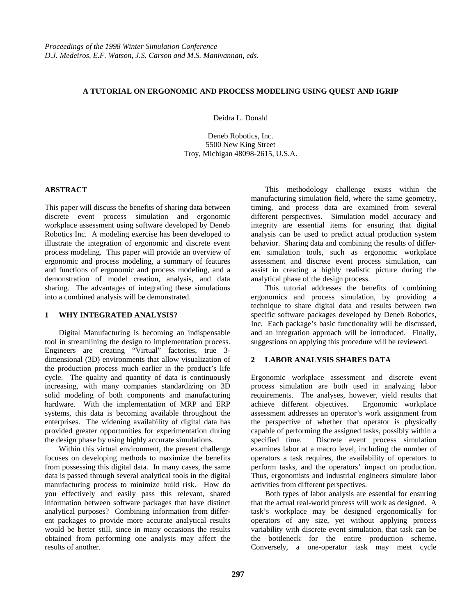### **A TUTORIAL ON ERGONOMIC AND PROCESS MODELING USING QUEST AND IGRIP**

Deidra L. Donald

Deneb Robotics, Inc. 5500 New King Street Troy, Michigan 48098-2615, U.S.A.

## **ABSTRACT**

This paper will discuss the benefits of sharing data between discrete event process simulation and ergonomic workplace assessment using software developed by Deneb Robotics Inc. A modeling exercise has been developed to illustrate the integration of ergonomic and discrete event process modeling. This paper will provide an overview of ergonomic and process modeling, a summary of features and functions of ergonomic and process modeling, and a demonstration of model creation, analysis, and data sharing. The advantages of integrating these simulations into a combined analysis will be demonstrated.

### **1 WHY INTEGRATED ANALYSIS?**

Digital Manufacturing is becoming an indispensable tool in streamlining the design to implementation process. Engineers are creating "Virtual" factories, true 3 dimensional (3D) environments that allow visualization of the production process much earlier in the product's life cycle. The quality and quantity of data is continuously increasing, with many companies standardizing on 3D solid modeling of both components and manufacturing hardware. With the implementation of MRP and ERP systems, this data is becoming available throughout the enterprises. The widening availability of digital data has provided greater opportunities for experimentation during the design phase by using highly accurate simulations.

Within this virtual environment, the present challenge focuses on developing methods to maximize the benefits from possessing this digital data. In many cases, the same data is passed through several analytical tools in the digital manufacturing process to minimize build risk. How do you effectively and easily pass this relevant, shared information between software packages that have distinct analytical purposes? Combining information from different packages to provide more accurate analytical results would be better still, since in many occasions the results obtained from performing one analysis may affect the results of another.

This methodology challenge exists within the manufacturing simulation field, where the same geometry, timing, and process data are examined from several different perspectives. Simulation model accuracy and integrity are essential items for ensuring that digital analysis can be used to predict actual production system behavior. Sharing data and combining the results of different simulation tools, such as ergonomic workplace assessment and discrete event process simulation, can assist in creating a highly realistic picture during the analytical phase of the design process.

This tutorial addresses the benefits of combining ergonomics and process simulation, by providing a technique to share digital data and results between two specific software packages developed by Deneb Robotics, Inc. Each package's basic functionality will be discussed, and an integration approach will be introduced. Finally, suggestions on applying this procedure will be reviewed.

# **2 LABOR ANALYSIS SHARES DATA**

Ergonomic workplace assessment and discrete event process simulation are both used in analyzing labor requirements. The analyses, however, yield results that achieve different objectives. Ergonomic workplace assessment addresses an operator's work assignment from the perspective of whether that operator is physically capable of performing the assigned tasks, possibly within a specified time. Discrete event process simulation examines labor at a macro level, including the number of operators a task requires, the availability of operators to perform tasks, and the operators' impact on production. Thus, ergonomists and industrial engineers simulate labor activities from different perspectives.

Both types of labor analysis are essential for ensuring that the actual real-world process will work as designed. A task's workplace may be designed ergonomically for operators of any size, yet without applying process variability with discrete event simulation, that task can be the bottleneck for the entire production scheme. Conversely, a one-operator task may meet cycle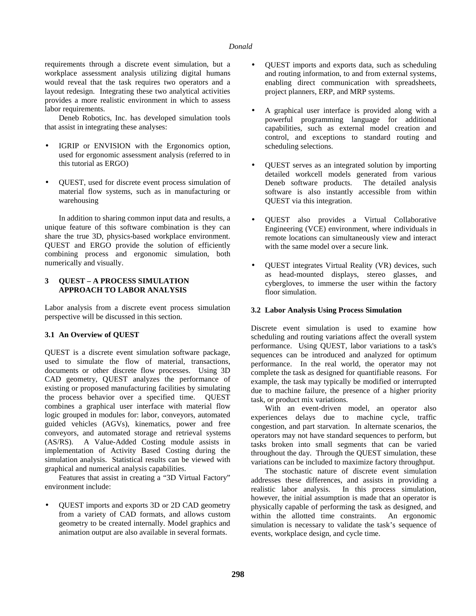### *Donald*

requirements through a discrete event simulation, but a workplace assessment analysis utilizing digital humans would reveal that the task requires two operators and a layout redesign. Integrating these two analytical activities provides a more realistic environment in which to assess labor requirements.

Deneb Robotics, Inc. has developed simulation tools that assist in integrating these analyses:

- IGRIP or ENVISION with the Ergonomics option, used for ergonomic assessment analysis (referred to in this tutorial as ERGO)
- QUEST, used for discrete event process simulation of material flow systems, such as in manufacturing or warehousing

In addition to sharing common input data and results, a unique feature of this software combination is they can share the true 3D, physics-based workplace environment. QUEST and ERGO provide the solution of efficiently combining process and ergonomic simulation, both numerically and visually.

### **3 QUEST – A PROCESS SIMULATION APPROACH TO LABOR ANALYSIS**

Labor analysis from a discrete event process simulation perspective will be discussed in this section.

### **3.1 An Overview of QUEST**

QUEST is a discrete event simulation software package, used to simulate the flow of material, transactions, documents or other discrete flow processes. Using 3D CAD geometry, QUEST analyzes the performance of existing or proposed manufacturing facilities by simulating the process behavior over a specified time. QUEST combines a graphical user interface with material flow logic grouped in modules for: labor, conveyors, automated guided vehicles (AGVs), kinematics, power and free conveyors, and automated storage and retrieval systems (AS/RS). A Value-Added Costing module assists in implementation of Activity Based Costing during the simulation analysis. Statistical results can be viewed with graphical and numerical analysis capabilities.

Features that assist in creating a "3D Virtual Factory" environment include:

• QUEST imports and exports 3D or 2D CAD geometry from a variety of CAD formats, and allows custom geometry to be created internally. Model graphics and animation output are also available in several formats.

- QUEST imports and exports data, such as scheduling and routing information, to and from external systems, enabling direct communication with spreadsheets, project planners, ERP, and MRP systems.
- A graphical user interface is provided along with a powerful programming language for additional capabilities, such as external model creation and control, and exceptions to standard routing and scheduling selections.
- QUEST serves as an integrated solution by importing detailed workcell models generated from various Deneb software products. The detailed analysis software is also instantly accessible from within QUEST via this integration.
- QUEST also provides a Virtual Collaborative Engineering (VCE) environment, where individuals in remote locations can simultaneously view and interact with the same model over a secure link.
- QUEST integrates Virtual Reality (VR) devices, such as head-mounted displays, stereo glasses, and cybergloves, to immerse the user within the factory floor simulation.

#### **3.2 Labor Analysis Using Process Simulation**

Discrete event simulation is used to examine how scheduling and routing variations affect the overall system performance. Using QUEST, labor variations to a task's sequences can be introduced and analyzed for optimum performance. In the real world, the operator may not complete the task as designed for quantifiable reasons. For example, the task may typically be modified or interrupted due to machine failure, the presence of a higher priority task, or product mix variations.

With an event-driven model, an operator also experiences delays due to machine cycle, traffic congestion, and part starvation. In alternate scenarios, the operators may not have standard sequences to perform, but tasks broken into small segments that can be varied throughout the day. Through the QUEST simulation, these variations can be included to maximize factory throughput.

The stochastic nature of discrete event simulation addresses these differences, and assists in providing a realistic labor analysis. In this process simulation, however, the initial assumption is made that an operator is physically capable of performing the task as designed, and within the allotted time constraints. An ergonomic simulation is necessary to validate the task's sequence of events, workplace design, and cycle time.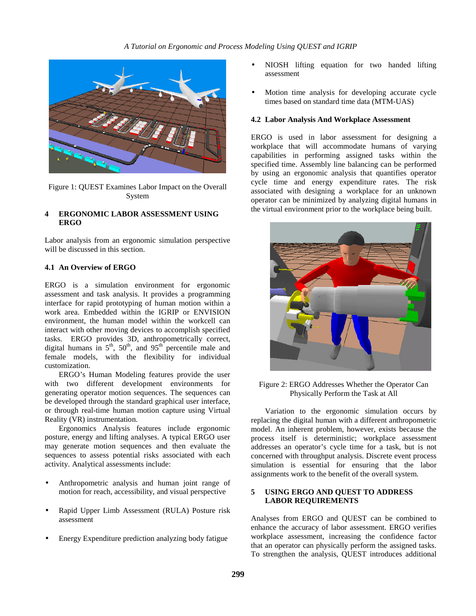

Figure 1: QUEST Examines Labor Impact on the Overall System

# **4 ERGONOMIC LABOR ASSESSMENT USING ERGO**

Labor analysis from an ergonomic simulation perspective will be discussed in this section.

## **4.1 An Overview of ERGO**

ERGO is a simulation environment for ergonomic assessment and task analysis. It provides a programming interface for rapid prototyping of human motion within a work area. Embedded within the IGRIP or ENVISION environment, the human model within the workcell can interact with other moving devices to accomplish specified tasks. ERGO provides 3D, anthropometrically correct, digital humans in  $5<sup>th</sup>$ ,  $50<sup>th</sup>$ , and  $95<sup>th</sup>$  percentile male and female models, with the flexibility for individual customization.

ERGO's Human Modeling features provide the user with two different development environments for generating operator motion sequences. The sequences can be developed through the standard graphical user interface, or through real-time human motion capture using Virtual Reality (VR) instrumentation.

Ergonomics Analysis features include ergonomic posture, energy and lifting analyses. A typical ERGO user may generate motion sequences and then evaluate the sequences to assess potential risks associated with each activity. Analytical assessments include:

- Anthropometric analysis and human joint range of motion for reach, accessibility, and visual perspective
- Rapid Upper Limb Assessment (RULA) Posture risk assessment
- Energy Expenditure prediction analyzing body fatigue
- NIOSH lifting equation for two handed lifting assessment
- Motion time analysis for developing accurate cycle times based on standard time data (MTM-UAS)

### **4.2 Labor Analysis And Workplace Assessment**

ERGO is used in labor assessment for designing a workplace that will accommodate humans of varying capabilities in performing assigned tasks within the specified time. Assembly line balancing can be performed by using an ergonomic analysis that quantifies operator cycle time and energy expenditure rates. The risk associated with designing a workplace for an unknown operator can be minimized by analyzing digital humans in the virtual environment prior to the workplace being built.



Figure 2: ERGO Addresses Whether the Operator Can Physically Perform the Task at All

Variation to the ergonomic simulation occurs by replacing the digital human with a different anthropometric model. An inherent problem, however, exists because the process itself is deterministic; workplace assessment addresses an operator's cycle time for a task, but is not concerned with throughput analysis. Discrete event process simulation is essential for ensuring that the labor assignments work to the benefit of the overall system.

### **5 USING ERGO AND QUEST TO ADDRESS LABOR REQUIREMENTS**

Analyses from ERGO and QUEST can be combined to enhance the accuracy of labor assessment. ERGO verifies workplace assessment, increasing the confidence factor that an operator can physically perform the assigned tasks. To strengthen the analysis, QUEST introduces additional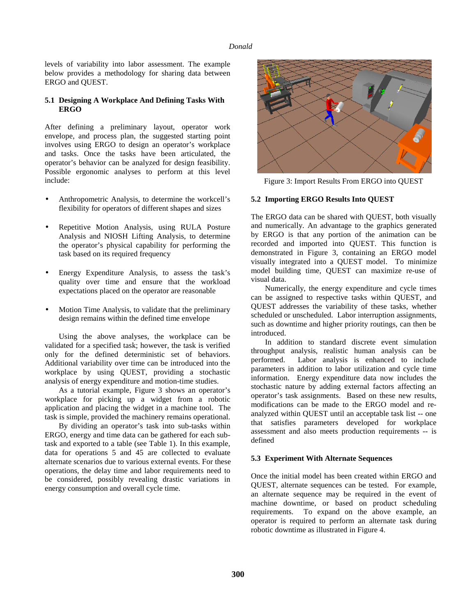levels of variability into labor assessment. The example below provides a methodology for sharing data between ERGO and QUEST.

## **5.1 Designing A Workplace And Defining Tasks With ERGO**

After defining a preliminary layout, operator work envelope, and process plan, the suggested starting point involves using ERGO to design an operator's workplace and tasks. Once the tasks have been articulated, the operator's behavior can be analyzed for design feasibility. Possible ergonomic analyses to perform at this level include:

- Anthropometric Analysis, to determine the workcell's flexibility for operators of different shapes and sizes
- Repetitive Motion Analysis, using RULA Posture Analysis and NIOSH Lifting Analysis, to determine the operator's physical capability for performing the task based on its required frequency
- Energy Expenditure Analysis, to assess the task's quality over time and ensure that the workload expectations placed on the operator are reasonable
- Motion Time Analysis, to validate that the preliminary design remains within the defined time envelope

Using the above analyses, the workplace can be validated for a specified task; however, the task is verified only for the defined deterministic set of behaviors. Additional variability over time can be introduced into the workplace by using QUEST, providing a stochastic analysis of energy expenditure and motion-time studies.

As a tutorial example, Figure 3 shows an operator's workplace for picking up a widget from a robotic application and placing the widget in a machine tool. The task is simple, provided the machinery remains operational.

By dividing an operator's task into sub-tasks within ERGO, energy and time data can be gathered for each subtask and exported to a table (see Table 1). In this example, data for operations 5 and 45 are collected to evaluate alternate scenarios due to various external events. For these operations, the delay time and labor requirements need to be considered, possibly revealing drastic variations in energy consumption and overall cycle time.



Figure 3: Import Results From ERGO into QUEST

# **5.2 Importing ERGO Results Into QUEST**

The ERGO data can be shared with QUEST, both visually and numerically. An advantage to the graphics generated by ERGO is that any portion of the animation can be recorded and imported into QUEST. This function is demonstrated in Figure 3, containing an ERGO model visually integrated into a QUEST model. To minimize model building time, QUEST can maximize re-use of visual data.

Numerically, the energy expenditure and cycle times can be assigned to respective tasks within QUEST, and QUEST addresses the variability of these tasks, whether scheduled or unscheduled. Labor interruption assignments, such as downtime and higher priority routings, can then be introduced.

In addition to standard discrete event simulation throughput analysis, realistic human analysis can be performed. Labor analysis is enhanced to include parameters in addition to labor utilization and cycle time information. Energy expenditure data now includes the stochastic nature by adding external factors affecting an operator's task assignments. Based on these new results, modifications can be made to the ERGO model and reanalyzed within QUEST until an acceptable task list -- one that satisfies parameters developed for workplace assessment and also meets production requirements -- is defined

### **5.3 Experiment With Alternate Sequences**

Once the initial model has been created within ERGO and QUEST, alternate sequences can be tested. For example, an alternate sequence may be required in the event of machine downtime, or based on product scheduling requirements. To expand on the above example, an operator is required to perform an alternate task during robotic downtime as illustrated in Figure 4.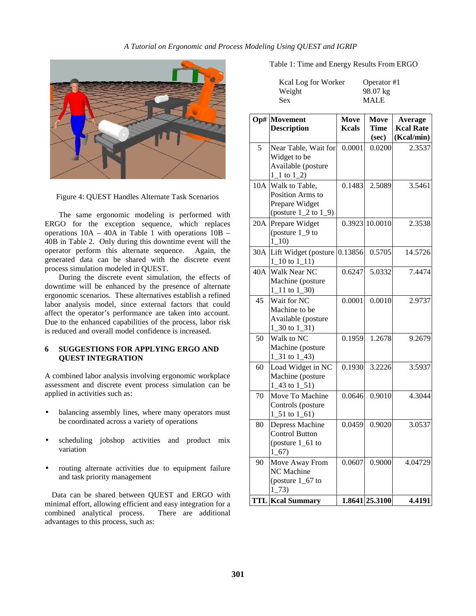

Figure 4: QUEST Handles Alternate Task Scenarios

The same ergonomic modeling is performed with ERGO for the exception sequence, which replaces operations  $10A - 40A$  in Table 1 with operations  $10B -$ 40B in Table 2. Only during this downtime event will the operator perform this alternate sequence. Again, the generated data can be shared with the discrete event process simulation modeled in QUEST.

During the discrete event simulation, the effects of downtime will be enhanced by the presence of alternate ergonomic scenarios. These alternatives establish a refined labor analysis model, since external factors that could affect the operator's performance are taken into account. Due to the enhanced capabilities of the process, labor risk is reduced and overall model confidence is increased.

### **6 SUGGESTIONS FOR APPLYING ERGO AND QUEST INTEGRATION**

A combined labor analysis involving ergonomic workplace assessment and discrete event process simulation can be applied in activities such as:

- balancing assembly lines, where many operators must be coordinated across a variety of operations
- scheduling jobshop activities and product mix variation
- routing alternate activities due to equipment failure and task priority management

Data can be shared between QUEST and ERGO with minimal effort, allowing efficient and easy integration for a combined analytical process. There are additional advantages to this process, such as:

Table 1: Time and Energy Results From ERGO

| Keal Log for Worker | Operator #1 |
|---------------------|-------------|
| Weight              | 98.07 kg    |
| <b>Sex</b>          | <b>MALE</b> |

| Op#        | <b>Movement</b><br><b>Description</b>                                             | Move<br><b>Kcals</b> | Move<br>Time<br>(sec) | Average<br><b>Kcal Rate</b><br>(Kcal/min) |
|------------|-----------------------------------------------------------------------------------|----------------------|-----------------------|-------------------------------------------|
| 5          | Near Table, Wait for<br>Widget to be<br>Available (posture<br>$1_1$ to $1_2$ )    | 0.0001               | 0.0200                | 2.3537                                    |
| 10A        | Walk to Table,<br>Position Arms to<br>Prepare Widget<br>(posture $1_2$ to $1_9$ ) | 0.1483               | 2.5089                | 3.5461                                    |
| 20A        | Prepare Widget<br>(posture $1_9$ to<br>$1_{-}10)$                                 |                      | 0.3923 10.0010        | 2.3538                                    |
| 30A        | Lift Widget (posture<br>$1\_10$ to $1\_11$ )                                      | 0.13856              | 0.5705                | 14.5726                                   |
| 40A        | <b>Walk Near NC</b><br>Machine (posture<br>$1\_11$ to $1\_30$ )                   | 0.6247               | 5.0332                | 7.4474                                    |
| 45         | Wait for NC<br>Machine to be<br>Available (posture<br>$1\_30$ to $1\_31$ )        | 0.0001               | 0.0010                | 2.9737                                    |
| 50         | Walk to NC<br>Machine (posture<br>$1\_31$ to $1\_43$ )                            | 0.1959               | 1.2678                | 9.2679                                    |
| 60         | Load Widget in NC<br>Machine (posture<br>$1\_43$ to $1\_51$ )                     | 0.1930               | 3.2226                | 3.5937                                    |
| 70         | Move To Machine<br>Controls (posture<br>$1\_51$ to $1\_61$ )                      | 0.0646               | 0.9010                | 4.3044                                    |
| 80         | Depress Machine<br><b>Control Button</b><br>(posture 1_61 to<br>$1_{-67}$         | 0.0459               | 0.9020                | 3.0537                                    |
| 90         | Move Away From<br>NC Machine<br>(posture $1_67$ to<br>$1_{-73}$                   | 0.0607               | 0.9000                | 4.04729                                   |
| <b>TTL</b> | <b>Kcal Summary</b>                                                               |                      | 1.8641 25.3100        | 4.4191                                    |